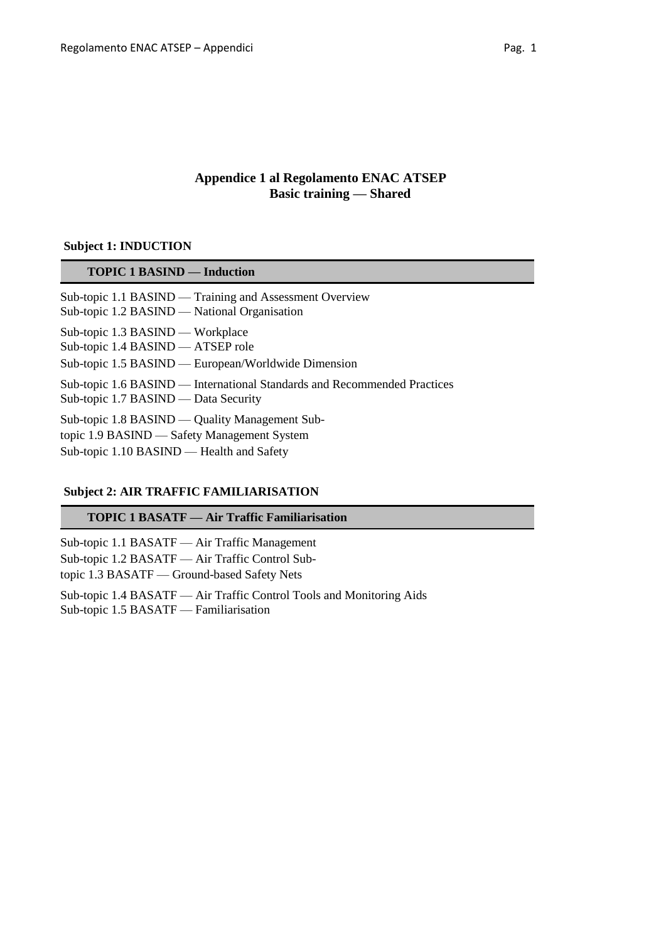## **Appendice 1 al Regolamento ENAC ATSEP Basic training — Shared**

### **Subject 1: INDUCTION**

| <b>TOPIC 1 BASIND — Induction</b>                                                                                                          |
|--------------------------------------------------------------------------------------------------------------------------------------------|
| Sub-topic 1.1 BASIND — Training and Assessment Overview<br>Sub-topic 1.2 BASIND — National Organisation                                    |
| Sub-topic 1.3 BASIND — Workplace<br>Sub-topic 1.4 BASIND — ATSEP role<br>Sub-topic 1.5 BASIND — European/Worldwide Dimension               |
| Sub-topic 1.6 BASIND — International Standards and Recommended Practices<br>Sub-topic 1.7 BASIND — Data Security                           |
| Sub-topic 1.8 BASIND — Quality Management Sub-<br>topic 1.9 BASIND — Safety Management System<br>Sub-topic 1.10 BASIND — Health and Safety |

### **Subject 2: AIR TRAFFIC FAMILIARISATION**

## **TOPIC 1 BASATF — Air Traffic Familiarisation**

Sub-topic 1.1 BASATF — Air Traffic Management Sub-topic 1.2 BASATF — Air Traffic Control Subtopic 1.3 BASATF — Ground-based Safety Nets

Sub-topic 1.4 BASATF — Air Traffic Control Tools and Monitoring Aids Sub-topic 1.5 BASATF — Familiarisation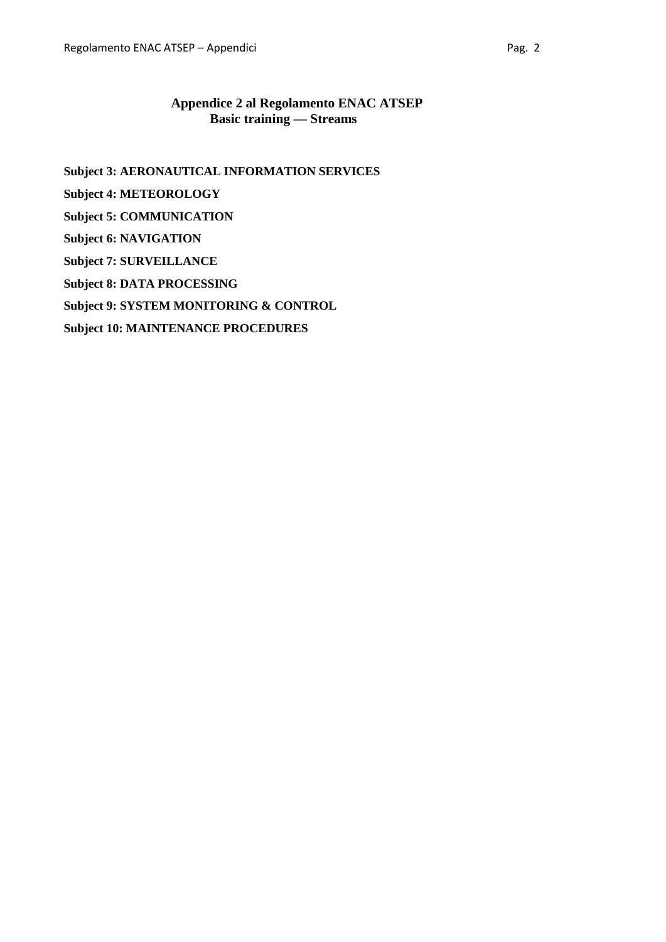## **Appendice 2 al Regolamento ENAC ATSEP Basic training — Streams**

**Subject 3: AERONAUTICAL INFORMATION SERVICES Subject 4: METEOROLOGY Subject 5: COMMUNICATION Subject 6: NAVIGATION Subject 7: SURVEILLANCE Subject 8: DATA PROCESSING Subject 9: SYSTEM MONITORING & CONTROL Subject 10: MAINTENANCE PROCEDURES**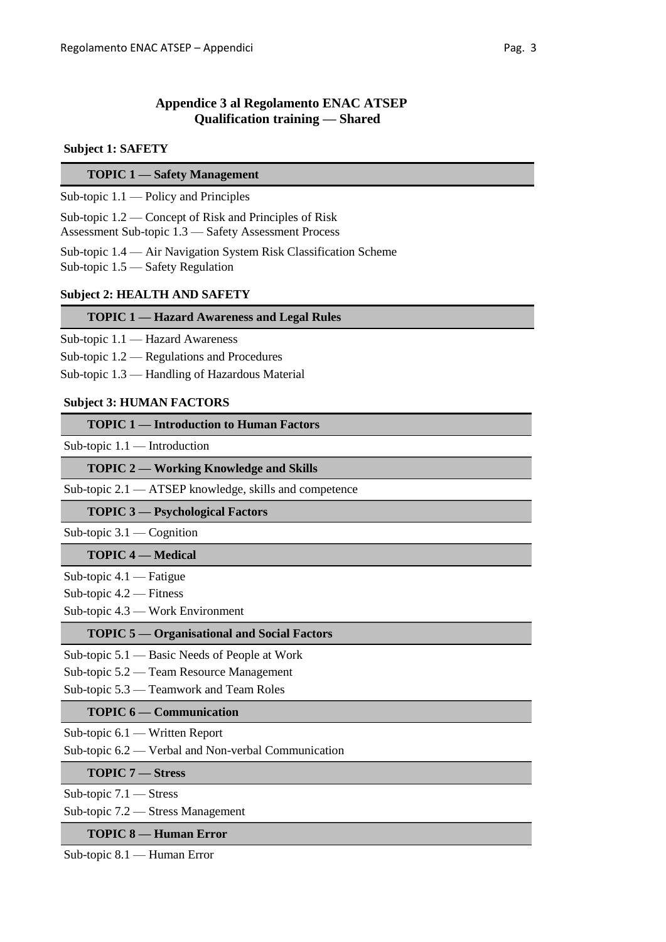## **Appendice 3 al Regolamento ENAC ATSEP Qualification training — Shared**

#### **Subject 1: SAFETY**

Sub-topic 1.1 — Policy and Principles

Sub-topic 1.2 — Concept of Risk and Principles of Risk

Assessment Sub-topic 1.3 — Safety Assessment Process

Sub-topic 1.4 — Air Navigation System Risk Classification Scheme Sub-topic 1.5 — Safety Regulation

#### **Subject 2: HEALTH AND SAFETY**

#### **TOPIC 1 — Hazard Awareness and Legal Rules**

- Sub-topic 1.1 Hazard Awareness
- Sub-topic 1.2 Regulations and Procedures

Sub-topic 1.3 — Handling of Hazardous Material

#### **Subject 3: HUMAN FACTORS**

## **TOPIC 1 — Introduction to Human Factors**

Sub-topic 1.1 — Introduction

### **TOPIC 2 — Working Knowledge and Skills**

Sub-topic 2.1 — ATSEP knowledge, skills and competence

#### **TOPIC 3 — Psychological Factors**

Sub-topic 3.1 — Cognition

#### **TOPIC 4 — Medical**

Sub-topic 4.1 — Fatigue

Sub-topic 4.2 — Fitness

Sub-topic 4.3 — Work Environment

#### **TOPIC 5 — Organisational and Social Factors**

Sub-topic 5.1 — Basic Needs of People at Work

Sub-topic 5.2 — Team Resource Management

Sub-topic 5.3 — Teamwork and Team Roles

#### **TOPIC 6 — Communication**

Sub-topic 6.1 — Written Report

Sub-topic 6.2 — Verbal and Non-verbal Communication

**TOPIC 7 — Stress**

Sub-topic 7.1 — Stress

Sub-topic 7.2 — Stress Management

#### **TOPIC 8 — Human Error**

Sub-topic 8.1 — Human Error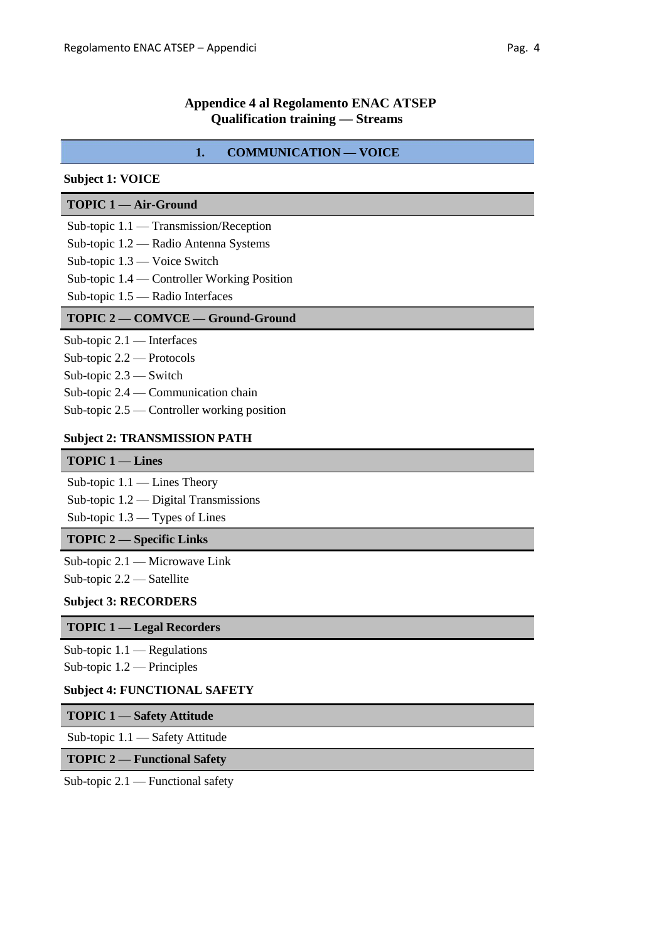## **Appendice 4 al Regolamento ENAC ATSEP Qualification training — Streams**

### **1. COMMUNICATION — VOICE**

### **Subject 1: VOICE**

#### **TOPIC 1 — Air-Ground**

Sub-topic 1.1 — Transmission/Reception

Sub-topic 1.2 — Radio Antenna Systems

Sub-topic 1.3 — Voice Switch

Sub-topic 1.4 — Controller Working Position

Sub-topic 1.5 — Radio Interfaces

#### **TOPIC 2 — COMVCE — Ground-Ground**

- Sub-topic 2.1 Interfaces
- Sub-topic 2.2 Protocols

Sub-topic 2.3 — Switch

Sub-topic 2.4 — Communication chain

Sub-topic 2.5 — Controller working position

#### **Subject 2: TRANSMISSION PATH**

### **TOPIC 1 — Lines**

Sub-topic 1.1 — Lines Theory

Sub-topic 1.2 — Digital Transmissions

Sub-topic 1.3 — Types of Lines

#### **TOPIC 2 — Specific Links**

Sub-topic 2.1 — Microwave Link

Sub-topic 2.2 — Satellite

#### **Subject 3: RECORDERS**

#### **TOPIC 1 — Legal Recorders**

Sub-topic 1.1 — Regulations

Sub-topic 1.2 — Principles

#### **Subject 4: FUNCTIONAL SAFETY**

#### **TOPIC 1 — Safety Attitude**

Sub-topic 1.1 — Safety Attitude

#### **TOPIC 2 — Functional Safety**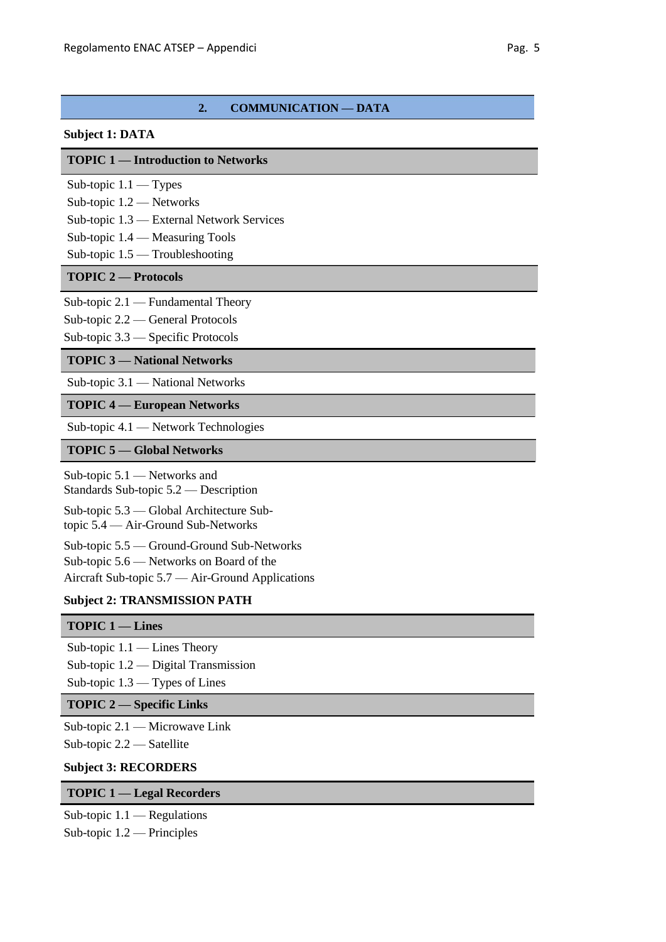#### **2. COMMUNICATION — DATA**

#### **Subject 1: DATA**

#### **TOPIC 1 — Introduction to Networks**

- Sub-topic 1.1 Types
- Sub-topic 1.2 Networks
- Sub-topic 1.3 External Network Services
- Sub-topic 1.4 Measuring Tools
- Sub-topic 1.5 Troubleshooting

### **TOPIC 2 — Protocols**

- Sub-topic 2.1 Fundamental Theory
- Sub-topic 2.2 General Protocols

Sub-topic 3.3 — Specific Protocols

#### **TOPIC 3 — National Networks**

Sub-topic 3.1 — National Networks

#### **TOPIC 4 — European Networks**

Sub-topic 4.1 — Network Technologies

#### **TOPIC 5 — Global Networks**

Sub-topic 5.1 — Networks and Standards Sub-topic 5.2 — Description

Sub-topic 5.3 — Global Architecture Subtopic 5.4 — Air-Ground Sub-Networks

Sub-topic 5.5 — Ground-Ground Sub-Networks

Sub-topic 5.6 — Networks on Board of the

Aircraft Sub-topic 5.7 — Air-Ground Applications

#### **Subject 2: TRANSMISSION PATH**

#### **TOPIC 1 — Lines**

Sub-topic 1.1 — Lines Theory Sub-topic 1.2 — Digital Transmission

Sub-topic 1.3 — Types of Lines

# **TOPIC 2 — Specific Links**

Sub-topic 2.1 — Microwave Link Sub-topic 2.2 — Satellite

### **Subject 3: RECORDERS**

#### **TOPIC 1 — Legal Recorders**

Sub-topic 1.1 — Regulations

Sub-topic 1.2 — Principles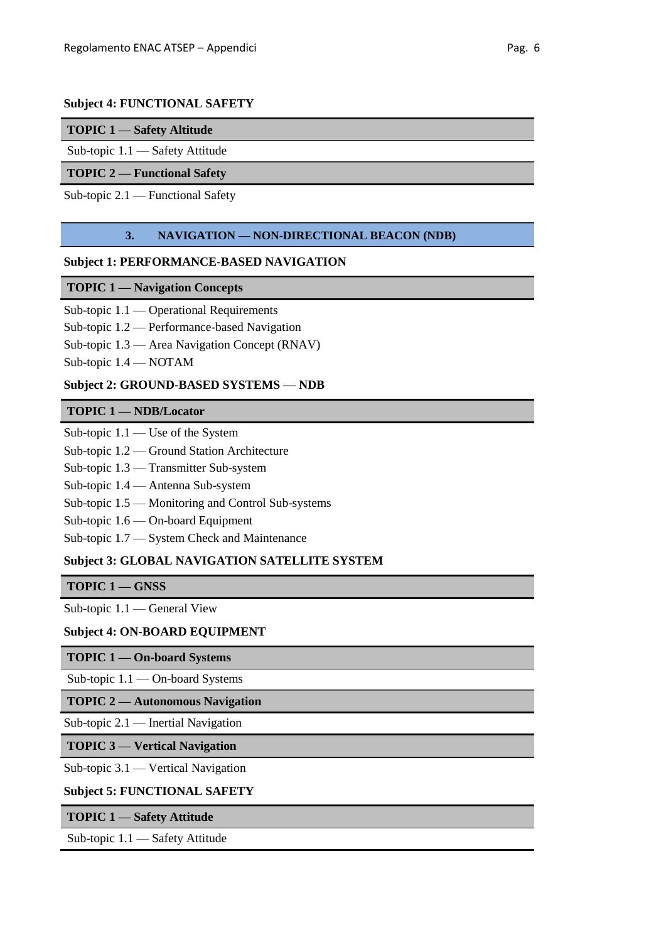#### **Subject 4: FUNCTIONAL SAFETY**

| <b>TOPIC 1 — Safety Altitude</b>    |  |
|-------------------------------------|--|
| Sub-topic $1.1$ — Safety Attitude   |  |
| <b>TOPIC 2 – Functional Safety</b>  |  |
| Sub-topic $2.1$ — Functional Safety |  |

### **3. NAVIGATION — NON-DIRECTIONAL BEACON (NDB)**

#### **Subject 1: PERFORMANCE-BASED NAVIGATION**

#### **TOPIC 1 — Navigation Concepts**

| Sub-topic $1.1$ — Operational Requirements |
|--------------------------------------------|
|--------------------------------------------|

Sub-topic 1.2 — Performance-based Navigation

Sub-topic 1.3 — Area Navigation Concept (RNAV)

Sub-topic 1.4 — NOTAM

#### **Subject 2: GROUND-BASED SYSTEMS — NDB**

#### **TOPIC 1 — NDB/Locator**

- Sub-topic 1.2 Ground Station Architecture
- Sub-topic 1.3 Transmitter Sub-system
- Sub-topic 1.4 Antenna Sub-system
- Sub-topic 1.5 Monitoring and Control Sub-systems
- Sub-topic 1.6 On-board Equipment
- Sub-topic 1.7 System Check and Maintenance

#### **Subject 3: GLOBAL NAVIGATION SATELLITE SYSTEM**

**TOPIC 1 — GNSS**

Sub-topic 1.1 — General View

#### **Subject 4: ON-BOARD EQUIPMENT**

**TOPIC 1 — On-board Systems**

Sub-topic 1.1 — On-board Systems

#### **TOPIC 2 — Autonomous Navigation**

Sub-topic 2.1 — Inertial Navigation

### **TOPIC 3 — Vertical Navigation**

Sub-topic 3.1 — Vertical Navigation

### **Subject 5: FUNCTIONAL SAFETY**

### **TOPIC 1 — Safety Attitude**

Sub-topic 1.1 — Safety Attitude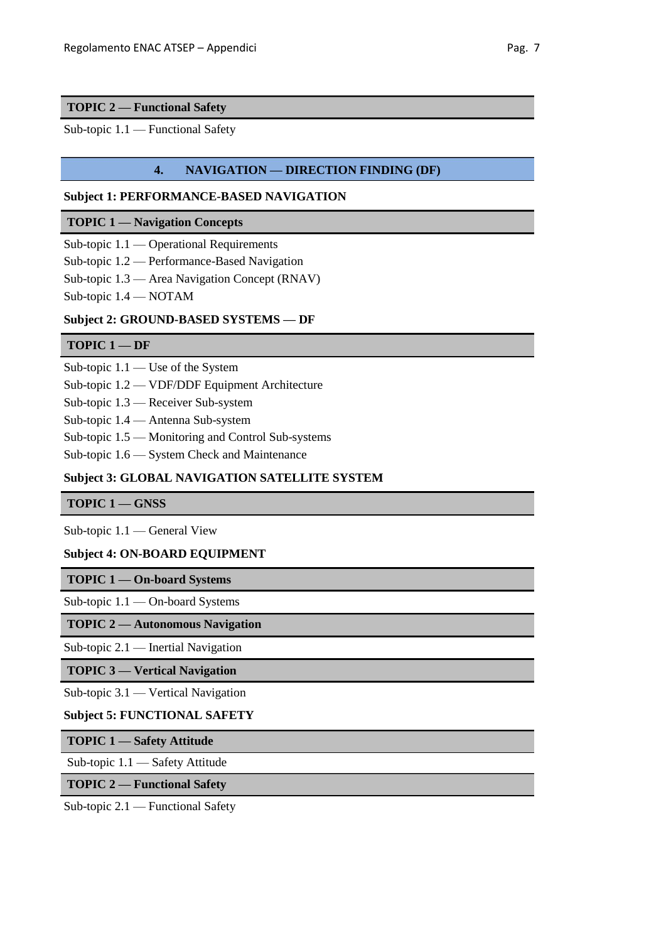### **TOPIC 2 — Functional Safety**

Sub-topic 1.1 — Functional Safety

### **4. NAVIGATION — DIRECTION FINDING (DF)**

### **Subject 1: PERFORMANCE-BASED NAVIGATION**

#### **TOPIC 1 — Navigation Concepts**

Sub-topic 1.1 — Operational Requirements

Sub-topic 1.2 — Performance-Based Navigation

Sub-topic 1.3 — Area Navigation Concept (RNAV)

Sub-topic 1.4 — NOTAM

### **Subject 2: GROUND-BASED SYSTEMS — DF**

### **TOPIC 1 — DF**

| Sub-topic $1.1$ — Use of the System |  |  |  |  |  |
|-------------------------------------|--|--|--|--|--|
|-------------------------------------|--|--|--|--|--|

Sub-topic 1.2 — VDF/DDF Equipment Architecture

- Sub-topic 1.3 Receiver Sub-system
- Sub-topic 1.4 Antenna Sub-system
- Sub-topic 1.5 Monitoring and Control Sub-systems
- Sub-topic 1.6 System Check and Maintenance

### **Subject 3: GLOBAL NAVIGATION SATELLITE SYSTEM**

### **TOPIC 1 — GNSS**

Sub-topic 1.1 — General View

### **Subject 4: ON-BOARD EQUIPMENT**

### **TOPIC 1 — On-board Systems**

Sub-topic 1.1 — On-board Systems

#### **TOPIC 2 — Autonomous Navigation**

Sub-topic 2.1 — Inertial Navigation

### **TOPIC 3 — Vertical Navigation**

Sub-topic 3.1 — Vertical Navigation

### **Subject 5: FUNCTIONAL SAFETY**

#### **TOPIC 1 — Safety Attitude**

Sub-topic 1.1 — Safety Attitude

#### **TOPIC 2 — Functional Safety**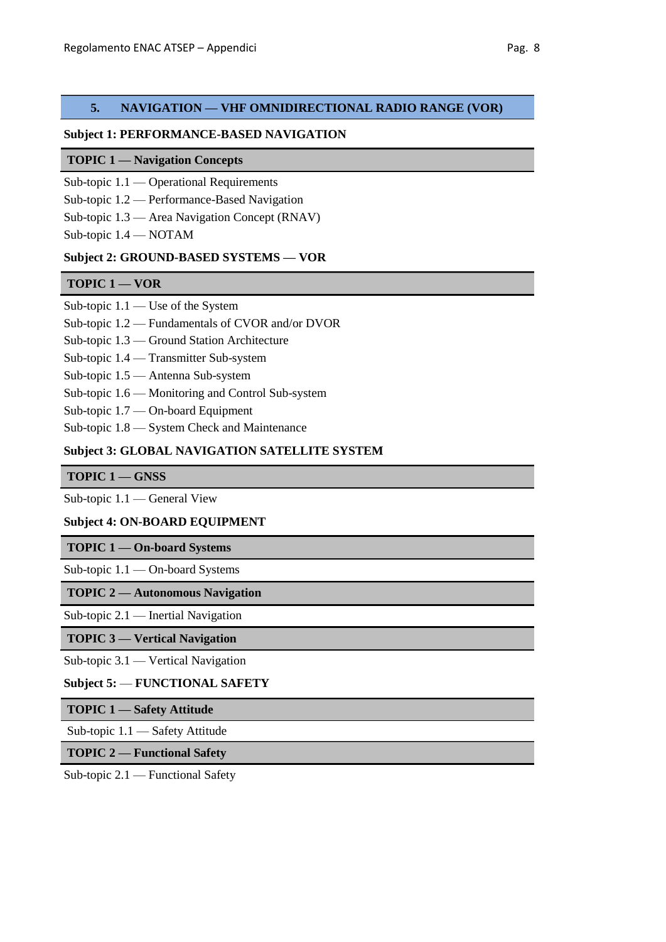### **5. NAVIGATION — VHF OMNIDIRECTIONAL RADIO RANGE (VOR)**

#### **Subject 1: PERFORMANCE-BASED NAVIGATION**

#### **TOPIC 1 — Navigation Concepts**

Sub-topic 1.1 — Operational Requirements

Sub-topic 1.2 — Performance-Based Navigation

Sub-topic 1.3 — Area Navigation Concept (RNAV)

Sub-topic 1.4 — NOTAM

#### **Subject 2: GROUND-BASED SYSTEMS — VOR**

#### **TOPIC 1 — VOR**

Sub-topic 1.1 — Use of the System

Sub-topic 1.2 — Fundamentals of CVOR and/or DVOR

Sub-topic 1.3 — Ground Station Architecture

Sub-topic 1.4 — Transmitter Sub-system

- Sub-topic 1.5 Antenna Sub-system
- Sub-topic 1.6 Monitoring and Control Sub-system
- Sub-topic 1.7 On-board Equipment
- Sub-topic 1.8 System Check and Maintenance

### **Subject 3: GLOBAL NAVIGATION SATELLITE SYSTEM**

#### **TOPIC 1 — GNSS**

Sub-topic 1.1 — General View

#### **Subject 4: ON-BOARD EQUIPMENT**

### **TOPIC 1 — On-board Systems**

Sub-topic 1.1 — On-board Systems

### **TOPIC 2 — Autonomous Navigation**

Sub-topic 2.1 — Inertial Navigation

#### **TOPIC 3 — Vertical Navigation**

Sub-topic 3.1 — Vertical Navigation

### **Subject 5:** — **FUNCTIONAL SAFETY**

### **TOPIC 1 — Safety Attitude**

Sub-topic 1.1 — Safety Attitude

### **TOPIC 2 — Functional Safety**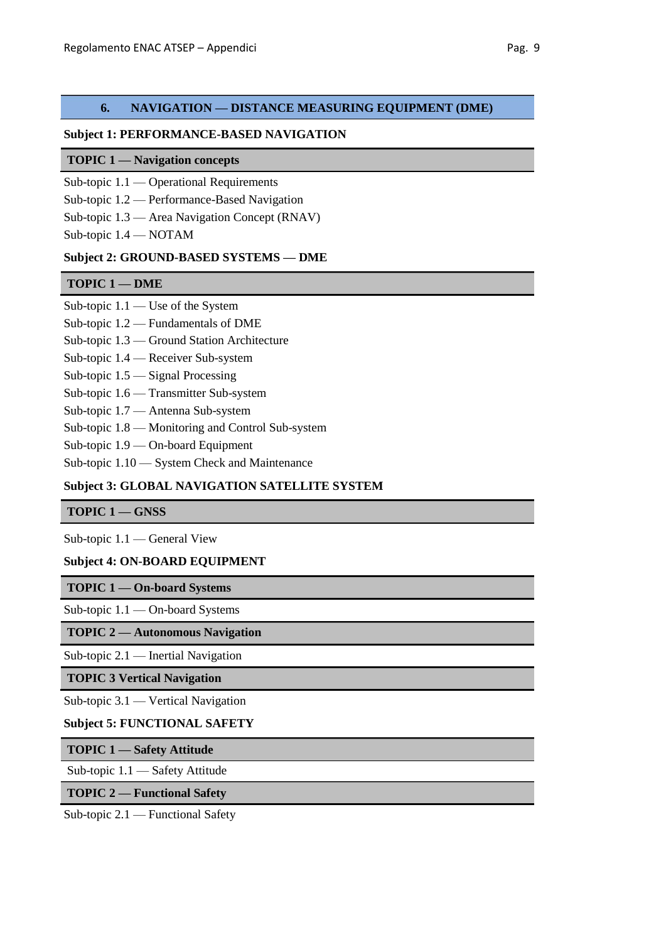### **6. NAVIGATION — DISTANCE MEASURING EQUIPMENT (DME)**

#### **Subject 1: PERFORMANCE-BASED NAVIGATION**

#### **TOPIC 1 — Navigation concepts**

Sub-topic 1.1 — Operational Requirements

Sub-topic 1.2 — Performance-Based Navigation

Sub-topic 1.3 — Area Navigation Concept (RNAV)

Sub-topic 1.4 — NOTAM

#### **Subject 2: GROUND-BASED SYSTEMS — DME**

#### **TOPIC 1 — DME**

Sub-topic 1.1 — Use of the System

- Sub-topic 1.2 Fundamentals of DME
- Sub-topic 1.3 Ground Station Architecture
- Sub-topic 1.4 Receiver Sub-system
- Sub-topic 1.5 Signal Processing
- Sub-topic 1.6 Transmitter Sub-system
- Sub-topic 1.7 Antenna Sub-system
- Sub-topic 1.8 Monitoring and Control Sub-system
- Sub-topic 1.9 On-board Equipment
- Sub-topic 1.10 System Check and Maintenance

### **Subject 3: GLOBAL NAVIGATION SATELLITE SYSTEM**

#### **TOPIC 1 — GNSS**

Sub-topic 1.1 — General View

#### **Subject 4: ON-BOARD EQUIPMENT**

#### **TOPIC 1 — On-board Systems**

Sub-topic 1.1 — On-board Systems

#### **TOPIC 2 — Autonomous Navigation**

Sub-topic 2.1 — Inertial Navigation

#### **TOPIC 3 Vertical Navigation**

Sub-topic 3.1 — Vertical Navigation

#### **Subject 5: FUNCTIONAL SAFETY**

#### **TOPIC 1 — Safety Attitude**

Sub-topic 1.1 — Safety Attitude

### **TOPIC 2 — Functional Safety**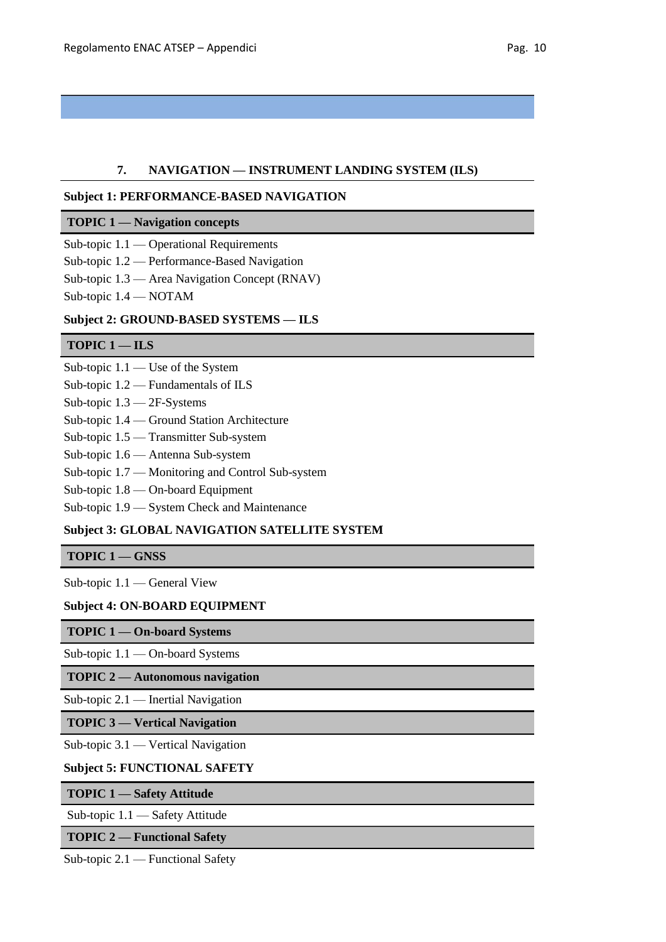### **7. NAVIGATION — INSTRUMENT LANDING SYSTEM (ILS)**

#### **Subject 1: PERFORMANCE-BASED NAVIGATION**

#### **TOPIC 1 — Navigation concepts**

Sub-topic 1.1 — Operational Requirements

Sub-topic 1.2 — Performance-Based Navigation

Sub-topic 1.3 — Area Navigation Concept (RNAV)

Sub-topic 1.4 — NOTAM

#### **Subject 2: GROUND-BASED SYSTEMS — ILS**

#### **TOPIC 1 — ILS**

Sub-topic 1.1 — Use of the System

Sub-topic 1.2 — Fundamentals of ILS

Sub-topic 1.3 — 2F-Systems

Sub-topic 1.4 — Ground Station Architecture

- Sub-topic 1.5 Transmitter Sub-system
- Sub-topic 1.6 Antenna Sub-system
- Sub-topic 1.7 Monitoring and Control Sub-system
- Sub-topic 1.8 On-board Equipment
- Sub-topic 1.9 System Check and Maintenance

## **Subject 3: GLOBAL NAVIGATION SATELLITE SYSTEM**

**TOPIC 1 — GNSS**

Sub-topic 1.1 — General View

#### **Subject 4: ON-BOARD EQUIPMENT**

#### **TOPIC 1 — On-board Systems**

Sub-topic 1.1 — On-board Systems

**TOPIC 2 — Autonomous navigation**

Sub-topic 2.1 — Inertial Navigation

**TOPIC 3 — Vertical Navigation**

### Sub-topic 3.1 — Vertical Navigation

#### **Subject 5: FUNCTIONAL SAFETY**

#### **TOPIC 1 — Safety Attitude**

Sub-topic 1.1 — Safety Attitude

#### **TOPIC 2 — Functional Safety**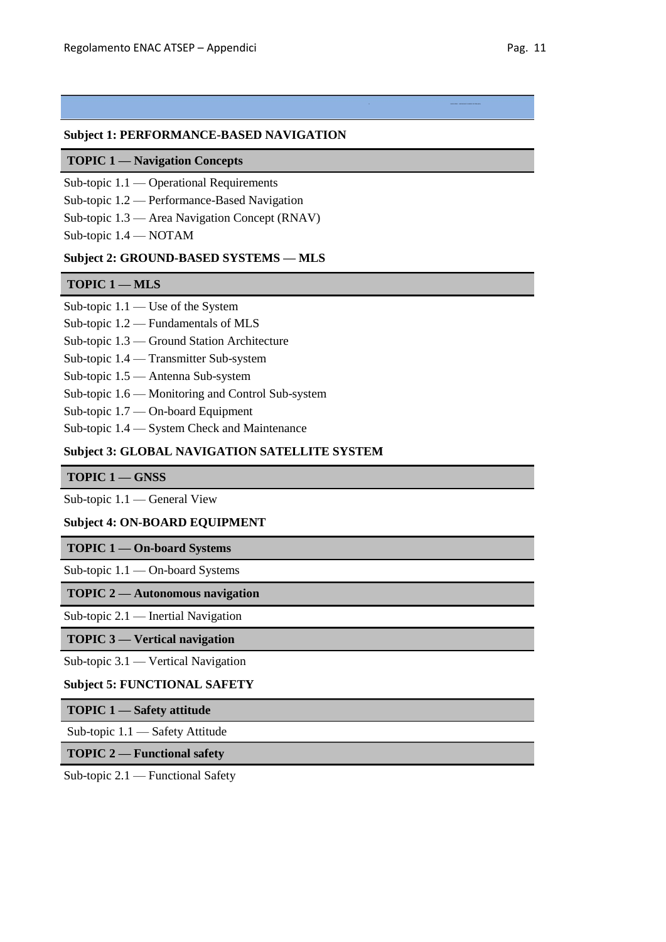#### **Subject 1: PERFORMANCE-BASED NAVIGATION**

#### **TOPIC 1 — Navigation Concepts**

- Sub-topic 1.1 Operational Requirements
- Sub-topic 1.2 Performance-Based Navigation
- Sub-topic 1.3 Area Navigation Concept (RNAV)
- Sub-topic 1.4 NOTAM

#### **Subject 2: GROUND-BASED SYSTEMS — MLS**

#### **TOPIC 1 — MLS**

- Sub-topic 1.1 Use of the System
- Sub-topic 1.2 Fundamentals of MLS
- Sub-topic 1.3 Ground Station Architecture
- Sub-topic 1.4 Transmitter Sub-system
- Sub-topic 1.5 Antenna Sub-system
- Sub-topic 1.6 Monitoring and Control Sub-system
- Sub-topic 1.7 On-board Equipment
- Sub-topic 1.4 System Check and Maintenance

#### **Subject 3: GLOBAL NAVIGATION SATELLITE SYSTEM**

#### **TOPIC 1 — GNSS**

Sub-topic 1.1 — General View

#### **Subject 4: ON-BOARD EQUIPMENT**

#### **TOPIC 1 — On-board Systems**

Sub-topic 1.1 — On-board Systems

#### **TOPIC 2 — Autonomous navigation**

Sub-topic 2.1 — Inertial Navigation

#### **TOPIC 3 — Vertical navigation**

Sub-topic 3.1 — Vertical Navigation

#### **Subject 5: FUNCTIONAL SAFETY**

#### **TOPIC 1 — Safety attitude**

Sub-topic 1.1 — Safety Attitude

### **TOPIC 2 — Functional safety**

Sub-topic 2.1 — Functional Safety

**8. NAVIGATION —— MICROWAVE LANDING SYSTEMS (MLS)**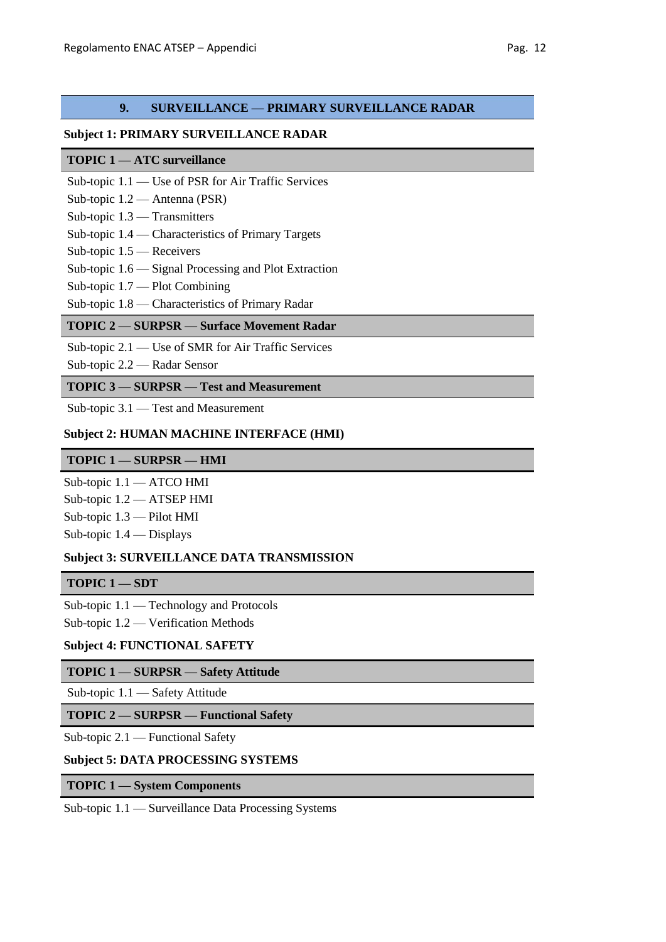### **9. SURVEILLANCE — PRIMARY SURVEILLANCE RADAR**

### **Subject 1: PRIMARY SURVEILLANCE RADAR**

#### **TOPIC 1 — ATC surveillance**

- Sub-topic 1.1 Use of PSR for Air Traffic Services
- Sub-topic 1.2 Antenna (PSR)
- Sub-topic 1.3 Transmitters
- Sub-topic 1.4 Characteristics of Primary Targets
- Sub-topic 1.5 Receivers
- Sub-topic 1.6 Signal Processing and Plot Extraction
- Sub-topic 1.7 Plot Combining
- Sub-topic 1.8 Characteristics of Primary Radar

### **TOPIC 2 — SURPSR — Surface Movement Radar**

Sub-topic 2.1 — Use of SMR for Air Traffic Services

Sub-topic 2.2 — Radar Sensor

#### **TOPIC 3 — SURPSR — Test and Measurement**

Sub-topic 3.1 — Test and Measurement

### **Subject 2: HUMAN MACHINE INTERFACE (HMI)**

### **TOPIC 1 — SURPSR — HMI**

Sub-topic 1.1 — ATCO HMI Sub-topic 1.2 — ATSEP HMI Sub-topic 1.3 — Pilot HMI

Sub-topic 1.4 — Displays

### **Subject 3: SURVEILLANCE DATA TRANSMISSION**

### **TOPIC 1 — SDT**

Sub-topic 1.1 — Technology and Protocols

Sub-topic 1.2 — Verification Methods

### **Subject 4: FUNCTIONAL SAFETY**

### **TOPIC 1 — SURPSR — Safety Attitude**

Sub-topic 1.1 — Safety Attitude

### **TOPIC 2 — SURPSR — Functional Safety**

Sub-topic 2.1 — Functional Safety

#### **Subject 5: DATA PROCESSING SYSTEMS**

#### **TOPIC 1 — System Components**

Sub-topic 1.1 — Surveillance Data Processing Systems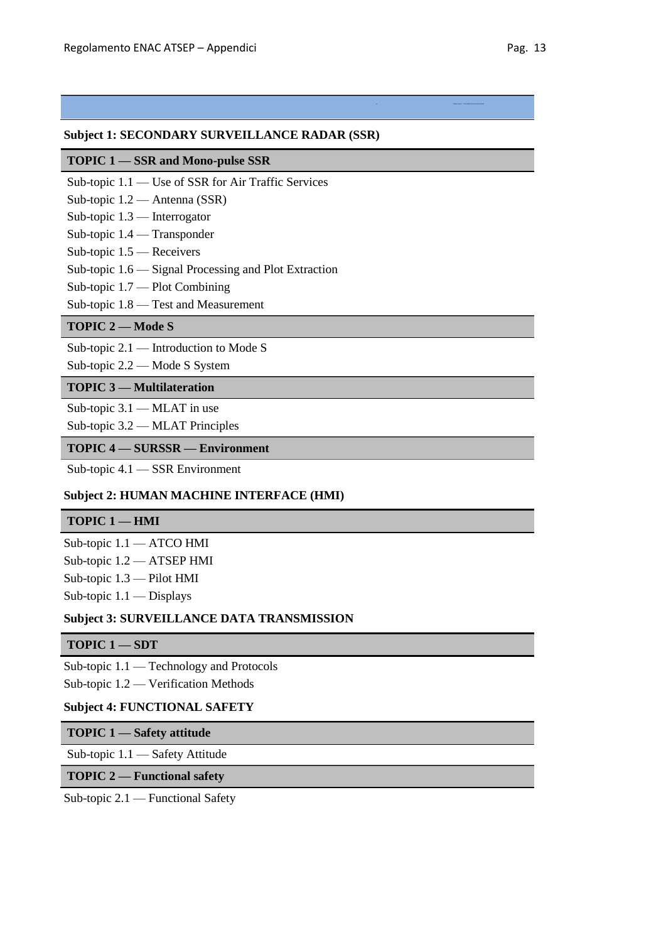#### **TOPIC 1 — SSR and Mono-pulse SSR**

- Sub-topic 1.1 Use of SSR for Air Traffic Services
- Sub-topic 1.2 Antenna (SSR)
- Sub-topic 1.3 Interrogator
- Sub-topic 1.4 Transponder
- Sub-topic 1.5 Receivers
- Sub-topic 1.6 Signal Processing and Plot Extraction
- Sub-topic 1.7 Plot Combining
- Sub-topic 1.8 Test and Measurement

#### **TOPIC 2 — Mode S**

Sub-topic 2.1 — Introduction to Mode S

Sub-topic 2.2 — Mode S System

#### **TOPIC 3 — Multilateration**

Sub-topic 3.1 — MLAT in use

Sub-topic 3.2 — MLAT Principles

**TOPIC 4 — SURSSR — Environment**

Sub-topic 4.1 — SSR Environment

#### **Subject 2: HUMAN MACHINE INTERFACE (HMI)**

#### **TOPIC 1 — HMI**

Sub-topic 1.1 — ATCO HMI Sub-topic 1.2 — ATSEP HMI Sub-topic 1.3 — Pilot HMI Sub-topic 1.1 — Displays

### **Subject 3: SURVEILLANCE DATA TRANSMISSION**

### **TOPIC 1 — SDT**

Sub-topic 1.1 — Technology and Protocols

Sub-topic 1.2 — Verification Methods

### **Subject 4: FUNCTIONAL SAFETY**

### **TOPIC 1 — Safety attitude**

Sub-topic 1.1 — Safety Attitude

### **TOPIC 2 — Functional safety**

Sub-topic 2.1 — Functional Safety

**10. SURVEILLANCE — SECONDAR Y SURV EILLANC E RADAR**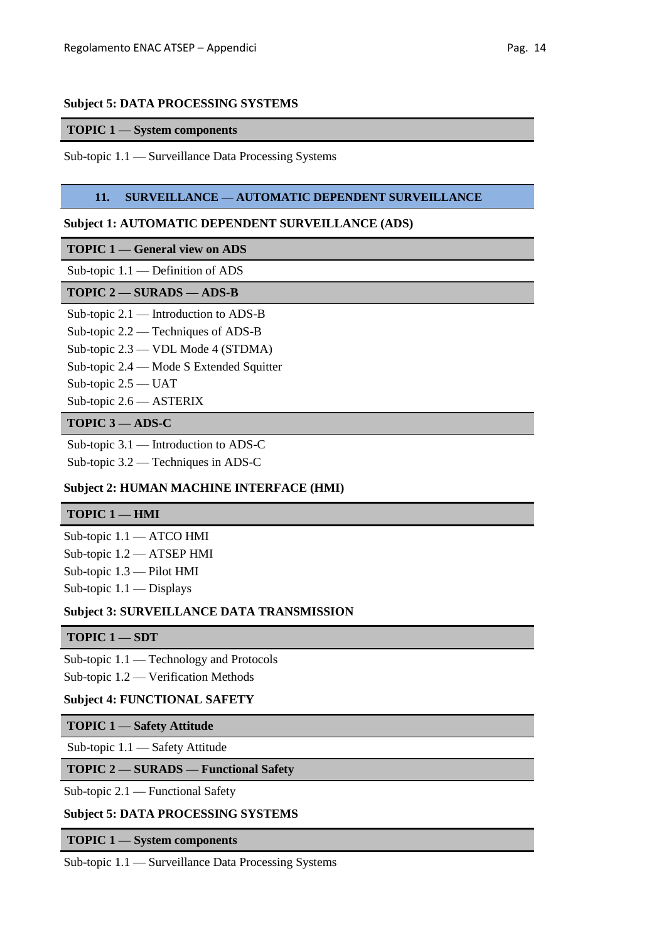#### **Subject 5: DATA PROCESSING SYSTEMS**

#### **TOPIC 1 — System components**

Sub-topic 1.1 — Surveillance Data Processing Systems

#### **11. SURVEILLANCE — AUTOMATIC DEPENDENT SURVEILLANCE**

#### **Subject 1: AUTOMATIC DEPENDENT SURVEILLANCE (ADS)**

#### **TOPIC 1 — General view on ADS**

Sub-topic 1.1 — Definition of ADS

#### **TOPIC 2 — SURADS — ADS-B**

Sub-topic 2.1 — Introduction to ADS-B

Sub-topic 2.2 — Techniques of ADS-B

Sub-topic 2.3 — VDL Mode 4 (STDMA)

Sub-topic 2.4 — Mode S Extended Squitter

Sub-topic 2.5 — UAT

Sub-topic 2.6 — ASTERIX

#### **TOPIC 3 — ADS-C**

Sub-topic 3.1 — Introduction to ADS-C

Sub-topic 3.2 — Techniques in ADS-C

### **Subject 2: HUMAN MACHINE INTERFACE (HMI)**

#### **TOPIC 1 — HMI**

Sub-topic 1.1 — ATCO HMI Sub-topic 1.2 — ATSEP HMI Sub-topic 1.3 — Pilot HMI Sub-topic 1.1 — Displays

#### **Subject 3: SURVEILLANCE DATA TRANSMISSION**

#### **TOPIC 1 — SDT**

Sub-topic 1.1 — Technology and Protocols Sub-topic 1.2 — Verification Methods

#### **Subject 4: FUNCTIONAL SAFETY**

### **TOPIC 1 — Safety Attitude**

Sub-topic 1.1 — Safety Attitude

#### **TOPIC 2 — SURADS — Functional Safety**

Sub-topic 2.1 **—** Functional Safety

### **Subject 5: DATA PROCESSING SYSTEMS**

**TOPIC 1 — System components**

Sub-topic 1.1 — Surveillance Data Processing Systems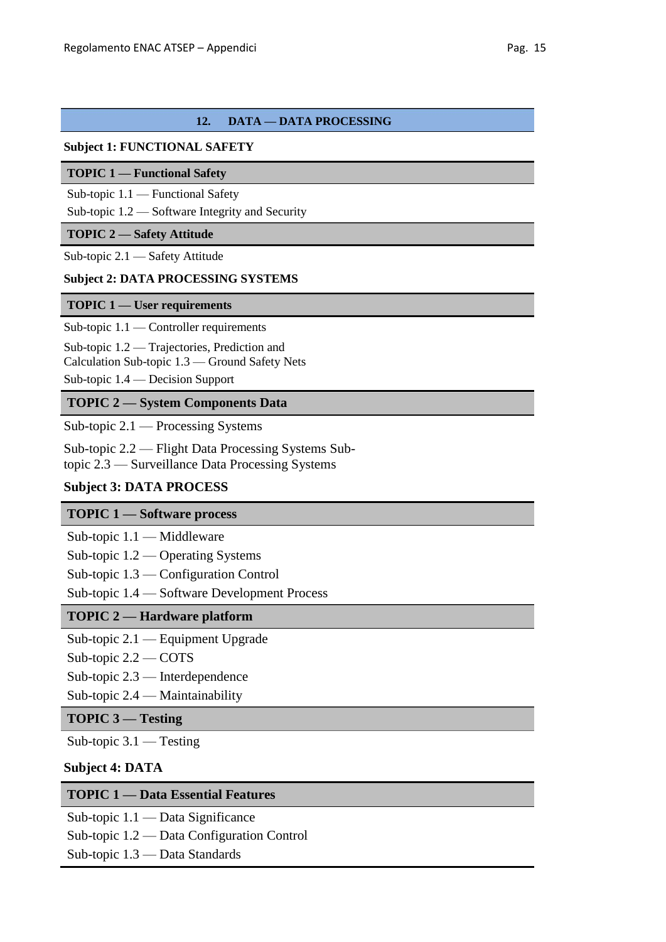### **12. DATA — DATA PROCESSING**

#### **Subject 1: FUNCTIONAL SAFETY**

### **TOPIC 1 — Functional Safety**

Sub-topic 1.1 — Functional Safety

Sub-topic 1.2 — Software Integrity and Security

### **TOPIC 2 — Safety Attitude**

Sub-topic 2.1 — Safety Attitude

### **Subject 2: DATA PROCESSING SYSTEMS**

### **TOPIC 1 — User requirements**

Sub-topic 1.1 — Controller requirements

Sub-topic 1.2 — Trajectories, Prediction and Calculation Sub-topic 1.3 — Ground Safety Nets

Sub-topic 1.4 — Decision Support

## **TOPIC 2 — System Components Data**

Sub-topic 2.1 — Processing Systems

Sub-topic 2.2 — Flight Data Processing Systems Subtopic 2.3 — Surveillance Data Processing Systems

## **Subject 3: DATA PROCESS**

### **TOPIC 1 — Software process**

Sub-topic 1.1 — Middleware

Sub-topic 1.2 — Operating Systems

Sub-topic 1.3 — Configuration Control

Sub-topic 1.4 — Software Development Process

### **TOPIC 2 — Hardware platform**

Sub-topic 2.1 — Equipment Upgrade

Sub-topic 2.2 — COTS

Sub-topic 2.3 — Interdependence

Sub-topic 2.4 — Maintainability

### **TOPIC 3 — Testing**

Sub-topic 3.1 — Testing

### **Subject 4: DATA**

### **TOPIC 1 — Data Essential Features**

Sub-topic 1.1 — Data Significance

Sub-topic 1.2 — Data Configuration Control

Sub-topic 1.3 — Data Standards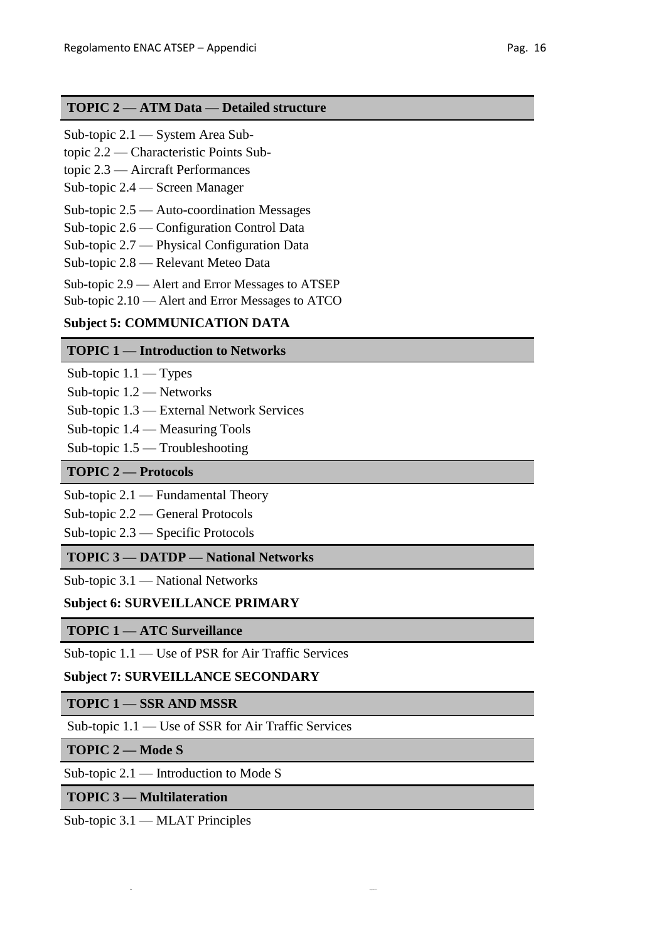### **TOPIC 2 — ATM Data — Detailed structure**

Sub-topic 2.1 — System Area Subtopic 2.2 — Characteristic Points Subtopic 2.3 — Aircraft Performances Sub-topic 2.4 — Screen Manager Sub-topic 2.5 — Auto-coordination Messages Sub-topic 2.6 — Configuration Control Data Sub-topic 2.7 — Physical Configuration Data Sub-topic 2.8 — Relevant Meteo Data Sub-topic 2.9 — Alert and Error Messages to ATSEP Sub-topic 2.10 — Alert and Error Messages to ATCO

### **Subject 5: COMMUNICATION DATA**

### **TOPIC 1 — Introduction to Networks**

- Sub-topic 1.1 Types
- Sub-topic 1.2 Networks
- Sub-topic 1.3 External Network Services
- Sub-topic 1.4 Measuring Tools
- Sub-topic 1.5 Troubleshooting

## **TOPIC 2 — Protocols**

- Sub-topic 2.1 Fundamental Theory
- Sub-topic 2.2 General Protocols
- Sub-topic 2.3 Specific Protocols

### **TOPIC 3 — DATDP — National Networks**

Sub-topic 3.1 — National Networks

### **Subject 6: SURVEILLANCE PRIMARY**

### **TOPIC 1 — ATC Surveillance**

Sub-topic 1.1 — Use of PSR for Air Traffic Services

#### **Subject 7: SURVEILLANCE SECONDARY**

#### **TOPIC 1 — SSR AND MSSR**

Sub-topic 1.1 — Use of SSR for Air Traffic Services

**EN** Page 124 of 133

#### **TOPIC 2 — Mode S**

Sub-topic 2.1 — Introduction to Mode S

### **TOPIC 3 — Multilateration**

Sub-topic 3.1 — MLAT Principles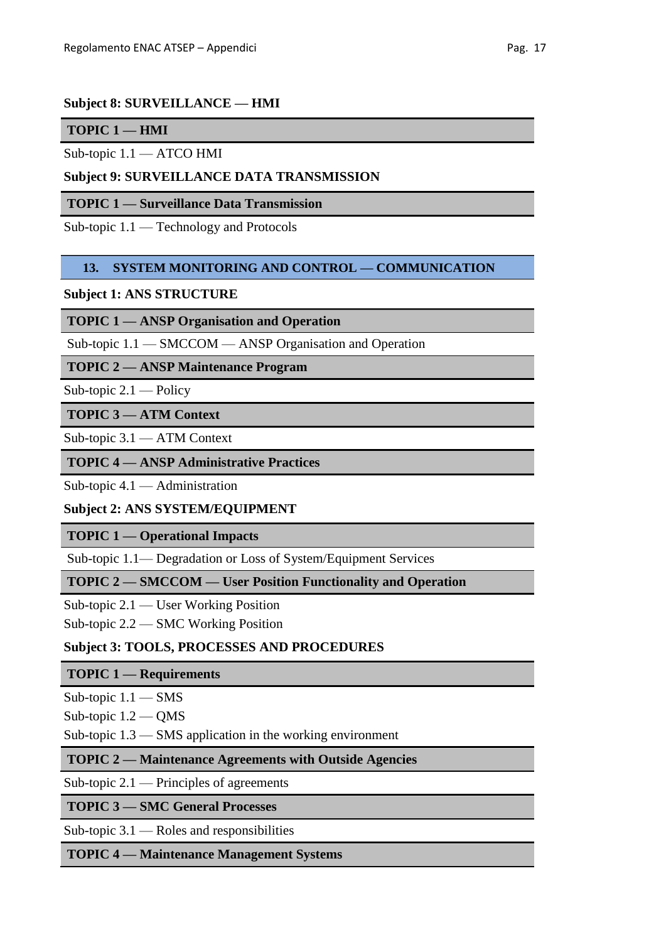## **Subject 8: SURVEILLANCE — HMI**

### **TOPIC 1 — HMI**

Sub-topic 1.1 — ATCO HMI

## **Subject 9: SURVEILLANCE DATA TRANSMISSION**

### **TOPIC 1 — Surveillance Data Transmission**

Sub-topic 1.1 — Technology and Protocols

## **13. SYSTEM MONITORING AND CONTROL — COMMUNICATION**

### **Subject 1: ANS STRUCTURE**

### **TOPIC 1 — ANSP Organisation and Operation**

Sub-topic 1.1 — SMCCOM — ANSP Organisation and Operation

## **TOPIC 2 — ANSP Maintenance Program**

Sub-topic 2.1 — Policy

## **TOPIC 3 — ATM Context**

Sub-topic 3.1 — ATM Context

## **TOPIC 4 — ANSP Administrative Practices**

Sub-topic 4.1 — Administration

### **Subject 2: ANS SYSTEM/EQUIPMENT**

## **TOPIC 1 — Operational Impacts**

Sub-topic 1.1— Degradation or Loss of System/Equipment Services

**TOPIC 2 — SMCCOM — User Position Functionality and Operation**

Sub-topic 2.1 — User Working Position

Sub-topic 2.2 — SMC Working Position

## **Subject 3: TOOLS, PROCESSES AND PROCEDURES**

### **TOPIC 1 — Requirements**

Sub-topic 1.1 — SMS

Sub-topic 1.2 — QMS

Sub-topic 1.3 — SMS application in the working environment

### **TOPIC 2 — Maintenance Agreements with Outside Agencies**

Sub-topic 2.1 — Principles of agreements

## **TOPIC 3 — SMC General Processes**

Sub-topic 3.1 — Roles and responsibilities

### **TOPIC 4 — Maintenance Management Systems**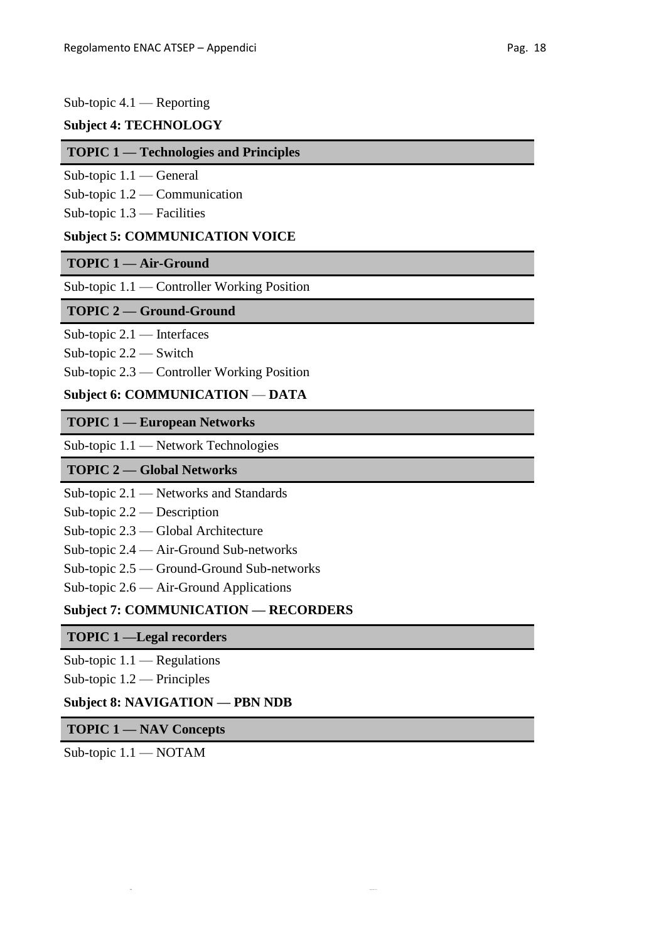## Sub-topic 4.1 — Reporting

### **Subject 4: TECHNOLOGY**

#### **TOPIC 1 — Technologies and Principles**

- Sub-topic 1.1 General
- Sub-topic 1.2 Communication
- Sub-topic 1.3 Facilities

#### **Subject 5: COMMUNICATION VOICE**

### **TOPIC 1 — Air-Ground**

Sub-topic 1.1 — Controller Working Position

#### **TOPIC 2 — Ground-Ground**

Sub-topic 2.1 — Interfaces

Sub-topic 2.2 — Switch

Sub-topic 2.3 — Controller Working Position

### **Subject 6: COMMUNICATION** — **DATA**

### **TOPIC 1 — European Networks**

Sub-topic 1.1 — Network Technologies

#### **TOPIC 2 — Global Networks**

- Sub-topic 2.1 Networks and Standards
- Sub-topic 2.2 Description
- Sub-topic 2.3 Global Architecture
- Sub-topic 2.4 Air-Ground Sub-networks
- Sub-topic 2.5 Ground-Ground Sub-networks
- Sub-topic 2.6 Air-Ground Applications

#### **Subject 7: COMMUNICATION — RECORDERS**

**EN** Page 126 of 133

### **TOPIC 1 —Legal recorders**

Sub-topic 1.1 — Regulations

Sub-topic 1.2 — Principles

### **Subject 8: NAVIGATION — PBN NDB**

#### **TOPIC 1 — NAV Concepts**

Sub-topic 1.1 — NOTAM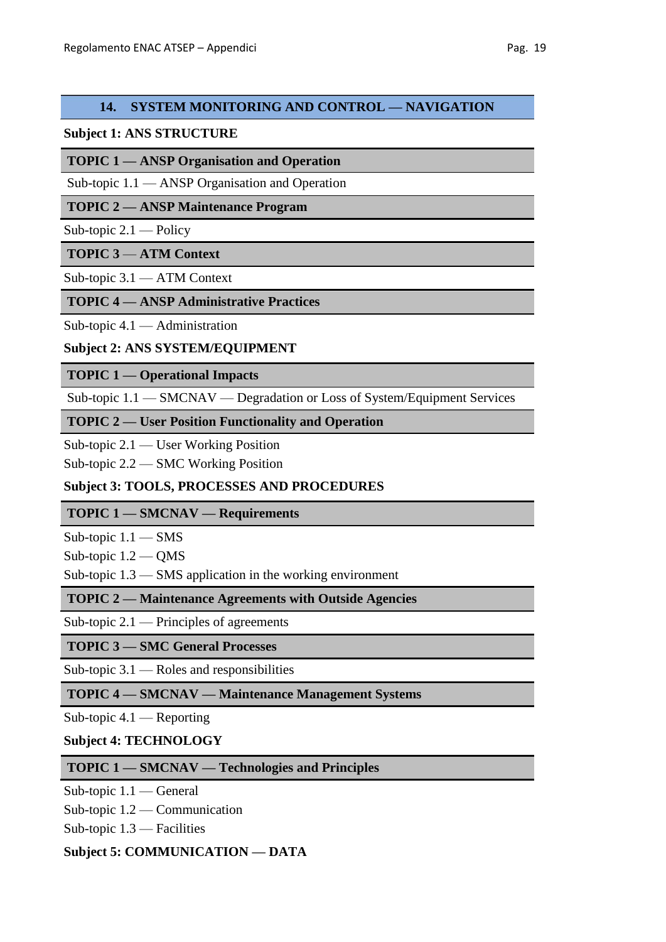## **14. SYSTEM MONITORING AND CONTROL — NAVIGATION**

## **Subject 1: ANS STRUCTURE**

## **TOPIC 1 — ANSP Organisation and Operation**

Sub-topic 1.1 — ANSP Organisation and Operation

## **TOPIC 2 — ANSP Maintenance Program**

Sub-topic 2.1 — Policy

## **TOPIC 3** — **ATM Context**

## Sub-topic 3.1 — ATM Context

## **TOPIC 4 — ANSP Administrative Practices**

Sub-topic 4.1 — Administration

## **Subject 2: ANS SYSTEM/EQUIPMENT**

## **TOPIC 1 — Operational Impacts**

Sub-topic 1.1 — SMCNAV — Degradation or Loss of System/Equipment Services

**TOPIC 2 — User Position Functionality and Operation**

Sub-topic 2.1 — User Working Position

Sub-topic 2.2 — SMC Working Position

## **Subject 3: TOOLS, PROCESSES AND PROCEDURES**

## **TOPIC 1 — SMCNAV — Requirements**

Sub-topic 1.1 — SMS

Sub-topic 1.2 — QMS

Sub-topic 1.3 — SMS application in the working environment

## **TOPIC 2 — Maintenance Agreements with Outside Agencies**

Sub-topic 2.1 — Principles of agreements

## **TOPIC 3 — SMC General Processes**

Sub-topic 3.1 — Roles and responsibilities

## **TOPIC 4 — SMCNAV — Maintenance Management Systems**

Sub-topic 4.1 — Reporting

### **Subject 4: TECHNOLOGY**

## **TOPIC 1 — SMCNAV — Technologies and Principles**

Sub-topic 1.1 — General

Sub-topic 1.2 — Communication

Sub-topic 1.3 — Facilities

### **Subject 5: COMMUNICATION — DATA**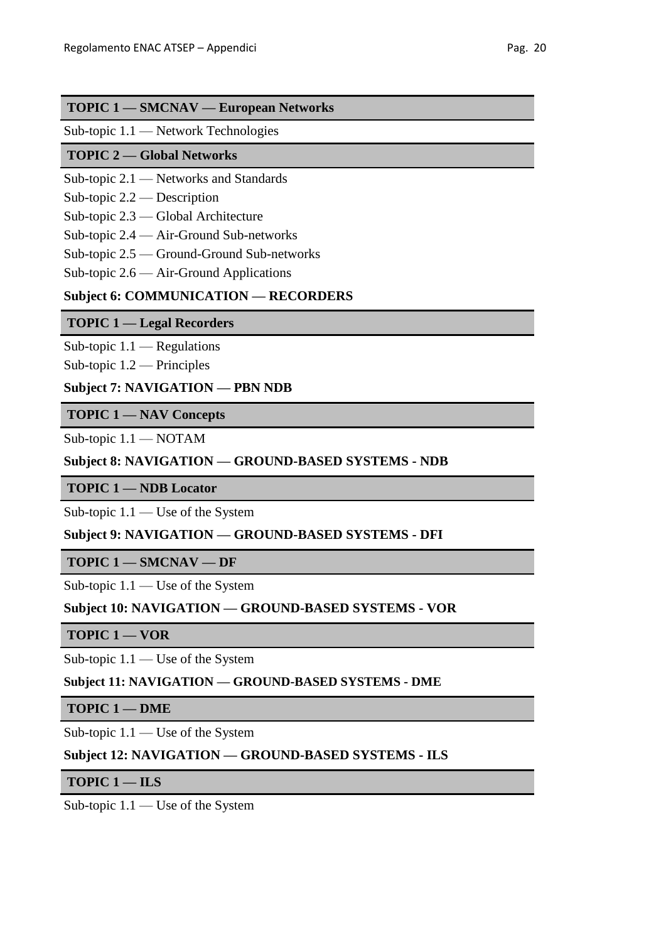### **TOPIC 1 — SMCNAV — European Networks**

Sub-topic 1.1 — Network Technologies

### **TOPIC 2 — Global Networks**

- Sub-topic 2.1 Networks and Standards
- Sub-topic 2.2 Description
- Sub-topic 2.3 Global Architecture
- Sub-topic 2.4 Air-Ground Sub-networks
- Sub-topic 2.5 Ground-Ground Sub-networks
- Sub-topic 2.6 Air-Ground Applications

### **Subject 6: COMMUNICATION — RECORDERS**

### **TOPIC 1 — Legal Recorders**

Sub-topic 1.1 — Regulations

Sub-topic 1.2 — Principles

### **Subject 7: NAVIGATION — PBN NDB**

### **TOPIC 1 — NAV Concepts**

Sub-topic 1.1 — NOTAM

### **Subject 8: NAVIGATION — GROUND-BASED SYSTEMS - NDB**

### **TOPIC 1 — NDB Locator**

Sub-topic 1.1 — Use of the System

## **Subject 9: NAVIGATION — GROUND-BASED SYSTEMS - DFI**

### **TOPIC 1 — SMCNAV — DF**

Sub-topic 1.1 — Use of the System

### **Subject 10: NAVIGATION — GROUND-BASED SYSTEMS - VOR**

## **TOPIC 1 — VOR**

Sub-topic 1.1 — Use of the System

### **Subject 11: NAVIGATION — GROUND-BASED SYSTEMS - DME**

### **TOPIC 1 — DME**

Sub-topic 1.1 — Use of the System

### **Subject 12: NAVIGATION — GROUND-BASED SYSTEMS - ILS**

### **TOPIC 1 — ILS**

Sub-topic 1.1 — Use of the System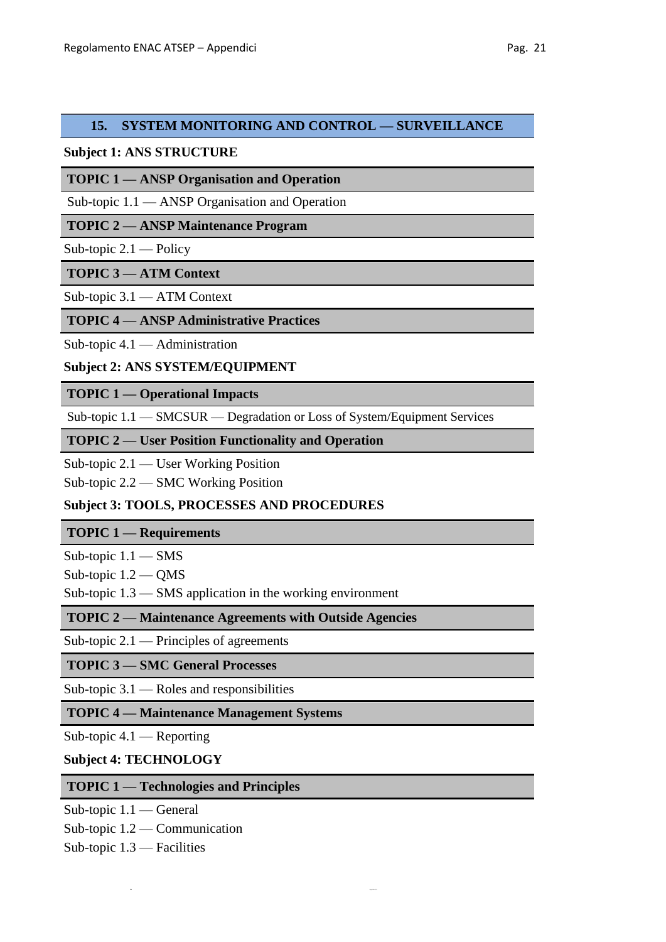### **15. SYSTEM MONITORING AND CONTROL — SURVEILLANCE**

### **Subject 1: ANS STRUCTURE**

### **TOPIC 1 — ANSP Organisation and Operation**

Sub-topic 1.1 — ANSP Organisation and Operation

**TOPIC 2 — ANSP Maintenance Program**

Sub-topic 2.1 — Policy

### **TOPIC 3 — ATM Context**

Sub-topic 3.1 — ATM Context

### **TOPIC 4 — ANSP Administrative Practices**

Sub-topic 4.1 — Administration

## **Subject 2: ANS SYSTEM/EQUIPMENT**

### **TOPIC 1 — Operational Impacts**

Sub-topic 1.1 — SMCSUR — Degradation or Loss of System/Equipment Services

### **TOPIC 2 — User Position Functionality and Operation**

Sub-topic 2.1 — User Working Position

Sub-topic 2.2 — SMC Working Position

## **Subject 3: TOOLS, PROCESSES AND PROCEDURES**

### **TOPIC 1 — Requirements**

Sub-topic 1.1 — SMS

Sub-topic 1.2 — QMS

Sub-topic 1.3 — SMS application in the working environment

### **TOPIC 2 — Maintenance Agreements with Outside Agencies**

**EN** Page 129 of 133

Sub-topic 2.1 — Principles of agreements

### **TOPIC 3 — SMC General Processes**

Sub-topic 3.1 — Roles and responsibilities

### **TOPIC 4 — Maintenance Management Systems**

Sub-topic 4.1 — Reporting

### **Subject 4: TECHNOLOGY**

### **TOPIC 1 — Technologies and Principles**

Sub-topic 1.1 — General

Sub-topic 1.2 — Communication

Sub-topic 1.3 — Facilities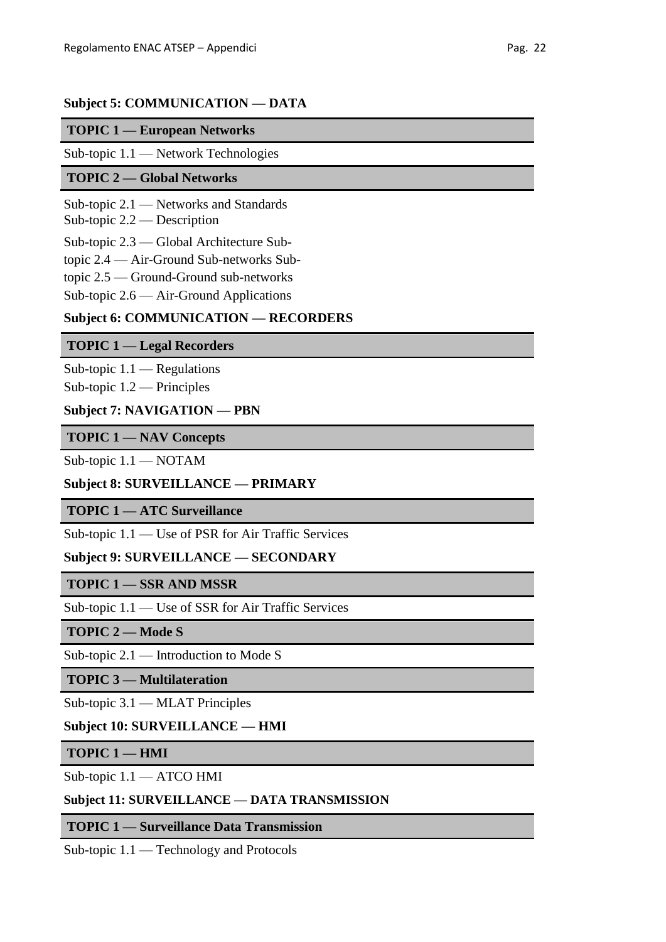## **Subject 5: COMMUNICATION — DATA**

## **TOPIC 1 — European Networks**

Sub-topic 1.1 — Network Technologies

### **TOPIC 2 — Global Networks**

Sub-topic 2.1 — Networks and Standards

Sub-topic 2.2 — Description

Sub-topic 2.3 — Global Architecture Sub-

topic 2.4 — Air-Ground Sub-networks Sub-

topic 2.5 — Ground-Ground sub-networks

Sub-topic 2.6 — Air-Ground Applications

## **Subject 6: COMMUNICATION — RECORDERS**

## **TOPIC 1 — Legal Recorders**

Sub-topic 1.1 — Regulations

Sub-topic 1.2 — Principles

## **Subject 7: NAVIGATION — PBN**

## **TOPIC 1 — NAV Concepts**

Sub-topic 1.1 — NOTAM

## **Subject 8: SURVEILLANCE — PRIMARY**

## **TOPIC 1 — ATC Surveillance**

Sub-topic 1.1 — Use of PSR for Air Traffic Services

## **Subject 9: SURVEILLANCE — SECONDARY**

### **TOPIC 1 — SSR AND MSSR**

Sub-topic 1.1 — Use of SSR for Air Traffic Services

### **TOPIC 2 — Mode S**

Sub-topic 2.1 — Introduction to Mode S

## **TOPIC 3 — Multilateration**

Sub-topic 3.1 — MLAT Principles

## **Subject 10: SURVEILLANCE — HMI**

## **TOPIC 1 — HMI**

Sub-topic 1.1 — ATCO HMI

## **Subject 11: SURVEILLANCE — DATA TRANSMISSION**

## **TOPIC 1 — Surveillance Data Transmission**

Sub-topic 1.1 — Technology and Protocols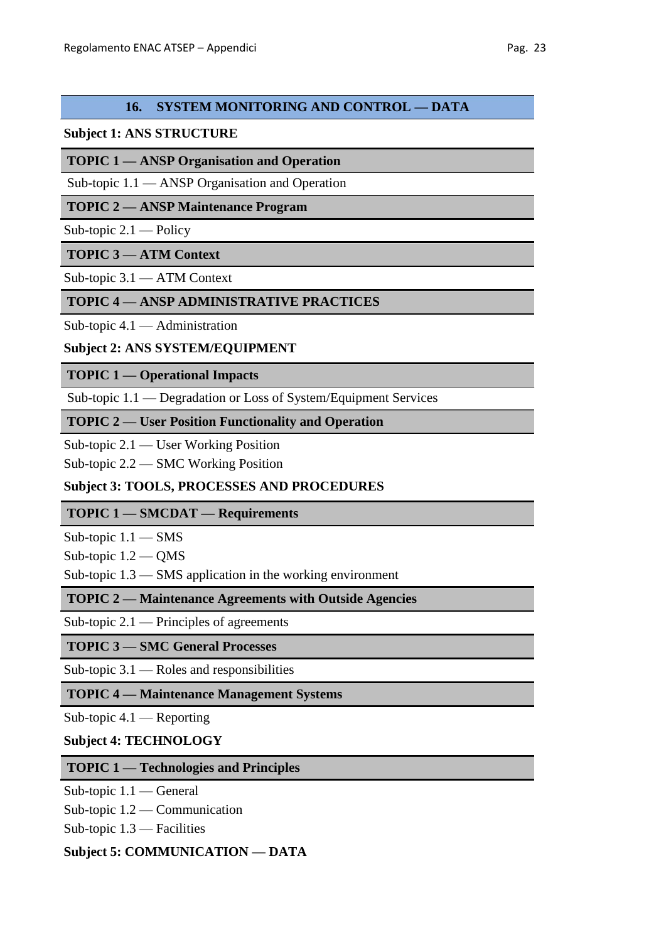## **16. SYSTEM MONITORING AND CONTROL — DATA**

## **Subject 1: ANS STRUCTURE**

## **TOPIC 1 — ANSP Organisation and Operation**

Sub-topic 1.1 — ANSP Organisation and Operation

## **TOPIC 2 — ANSP Maintenance Program**

Sub-topic 2.1 — Policy

## **TOPIC 3 — ATM Context**

## Sub-topic 3.1 — ATM Context

## **TOPIC 4 — ANSP ADMINISTRATIVE PRACTICES**

Sub-topic 4.1 — Administration

## **Subject 2: ANS SYSTEM/EQUIPMENT**

## **TOPIC 1 — Operational Impacts**

Sub-topic 1.1 — Degradation or Loss of System/Equipment Services

**TOPIC 2 — User Position Functionality and Operation**

Sub-topic 2.1 — User Working Position

Sub-topic 2.2 — SMC Working Position

## **Subject 3: TOOLS, PROCESSES AND PROCEDURES**

## **TOPIC 1 — SMCDAT — Requirements**

Sub-topic 1.1 — SMS

Sub-topic 1.2 — QMS

Sub-topic 1.3 — SMS application in the working environment

## **TOPIC 2 — Maintenance Agreements with Outside Agencies**

Sub-topic 2.1 — Principles of agreements

## **TOPIC 3 — SMC General Processes**

Sub-topic 3.1 — Roles and responsibilities

## **TOPIC 4 — Maintenance Management Systems**

Sub-topic 4.1 — Reporting

### **Subject 4: TECHNOLOGY**

## **TOPIC 1 — Technologies and Principles**

Sub-topic 1.1 — General

Sub-topic 1.2 — Communication

Sub-topic 1.3 — Facilities

### **Subject 5: COMMUNICATION — DATA**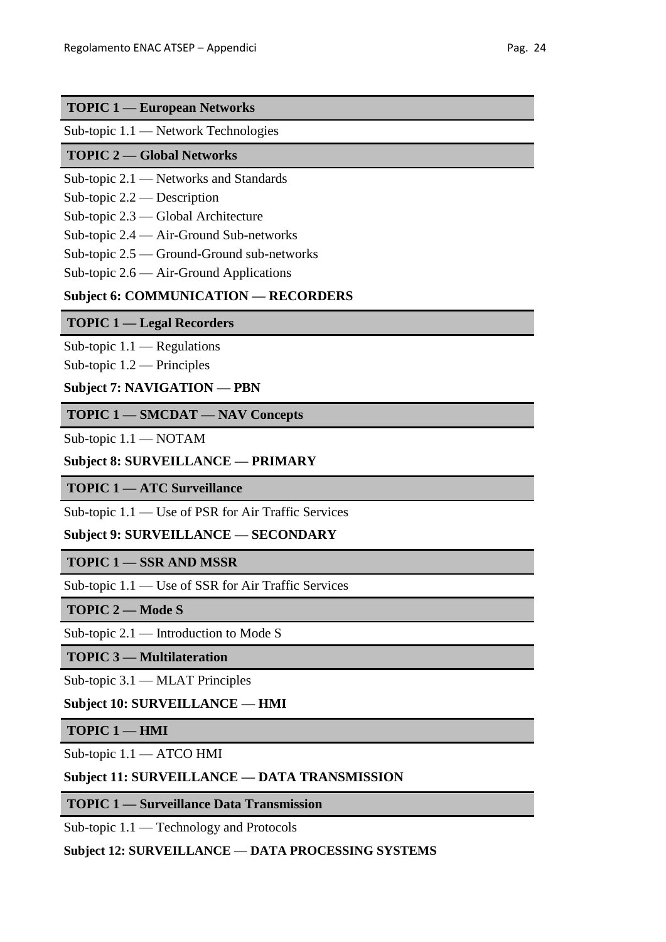## **TOPIC 1 — European Networks**

Sub-topic 1.1 — Network Technologies

## **TOPIC 2 — Global Networks**

- Sub-topic 2.1 Networks and Standards
- Sub-topic 2.2 Description
- Sub-topic 2.3 Global Architecture
- Sub-topic 2.4 Air-Ground Sub-networks
- Sub-topic 2.5 Ground-Ground sub-networks
- Sub-topic 2.6 Air-Ground Applications

## **Subject 6: COMMUNICATION — RECORDERS**

## **TOPIC 1 — Legal Recorders**

Sub-topic 1.1 — Regulations

Sub-topic 1.2 — Principles

## **Subject 7: NAVIGATION — PBN**

**TOPIC 1 — SMCDAT — NAV Concepts**

Sub-topic 1.1 — NOTAM

## **Subject 8: SURVEILLANCE — PRIMARY**

**TOPIC 1 — ATC Surveillance**

Sub-topic 1.1 — Use of PSR for Air Traffic Services

## **Subject 9: SURVEILLANCE — SECONDARY**

## **TOPIC 1 — SSR AND MSSR**

Sub-topic 1.1 — Use of SSR for Air Traffic Services

**TOPIC 2 — Mode S**

Sub-topic 2.1 — Introduction to Mode S

## **TOPIC 3 — Multilateration**

Sub-topic 3.1 — MLAT Principles

## **Subject 10: SURVEILLANCE — HMI**

**TOPIC 1 — HMI**

Sub-topic 1.1 — ATCO HMI

## **Subject 11: SURVEILLANCE — DATA TRANSMISSION**

**TOPIC 1 — Surveillance Data Transmission**

Sub-topic 1.1 — Technology and Protocols

### **Subject 12: SURVEILLANCE — DATA PROCESSING SYSTEMS**